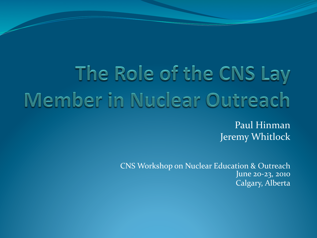# The Role of the CNS Lay Member in Nuclear Outreach

Paul Hinman Jeremy Whitlock

CNS Workshop on Nuclear Education & Outreach June 20-23, 2010 Calgary, Alberta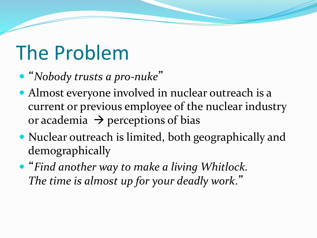# The Problem

- "Nobody trusts a pro-nuke"
- Almost everyone involved in nuclear outreach is a current or previous employee of the nuclear industry or academia  $\rightarrow$  perceptions of bias
- Nuclear outreach is limited, both geographically and demographically
- "Find another way to make a living Whitlock. The time is almost up for your deadly work."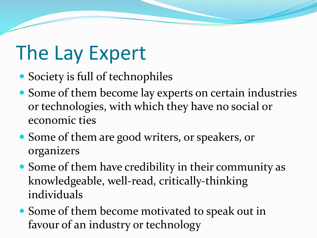# The Lay Expert

- Society is full of technophiles
- Some of them become lay experts on certain industries or technologies, with which they have no social or economic ties
- Some of them are good writers, or speakers, or organizers%
- $\bullet$  Some of them have credibility in their community as knowledgeable, well-read, critically-thinking individuals
- Some of them become motivated to speak out in favour of an industry or technology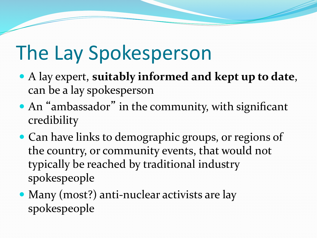# The Lay Spokesperson

- A lay expert, suitably informed and kept up to date, can be a lay spokesperson
- An "ambassador" in the community, with significant credibility
- Can have links to demographic groups, or regions of the country, or community events, that would not typically be reached by traditional industry spokespeople
- Many (most?) anti-nuclear activists are lay spokespeople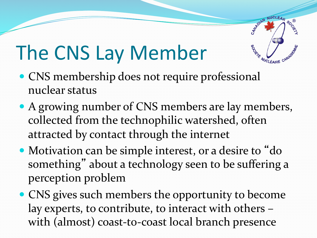# The CNS Lay Member

- CNS membership does not require professional nuclear status
- A growing number of CNS members are lay members, collected from the technophilic watershed, often attracted by contact through the internet

**NUCLEAD** 

WUCLÉAIRE CANADY

**SOC.** 

CANADIAN

- Motivation can be simple interest, or a desire to "do something" about a technology seen to be suffering a perception problem
- CNS gives such members the opportunity to become lay experts, to contribute, to interact with others – with (almost) coast-to-coast local branch presence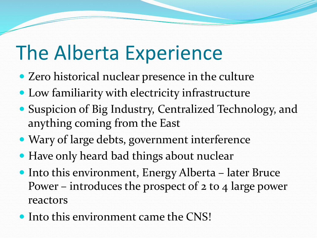#### The Alberta Experience

- $\bullet$  Zero historical nuclear presence in the culture
- Low familiarity with electricity infrastructure
- Suspicion of Big Industry, Centralized Technology, and anything coming from the East
- Wary of large debts, government interference
- Have only heard bad things about nuclear
- $\bullet$  Into this environment, Energy Alberta later Bruce Power – introduces the prospect of  $2$  to  $4$  large power reactors
- $\bullet$  Into this environment came the CNS!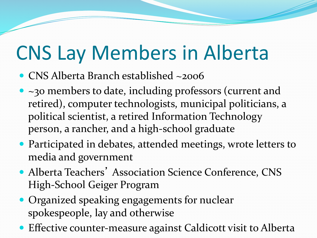# CNS Lay Members in Alberta

- CNS Alberta Branch established ~2006
- $\bullet$  ~30 members to date, including professors (current and retired), computer technologists, municipal politicians, a political scientist, a retired Information Technology person, a rancher, and a high-school graduate
- $\bullet$  Participated in debates, attended meetings, wrote letters to media and government
- Alberta Teachers' Association Science Conference, CNS High-School Geiger Program
- Organized speaking engagements for nuclear spokespeople, lay and otherwise
- $\bullet$  Effective counter-measure against Caldicott visit to Alberta